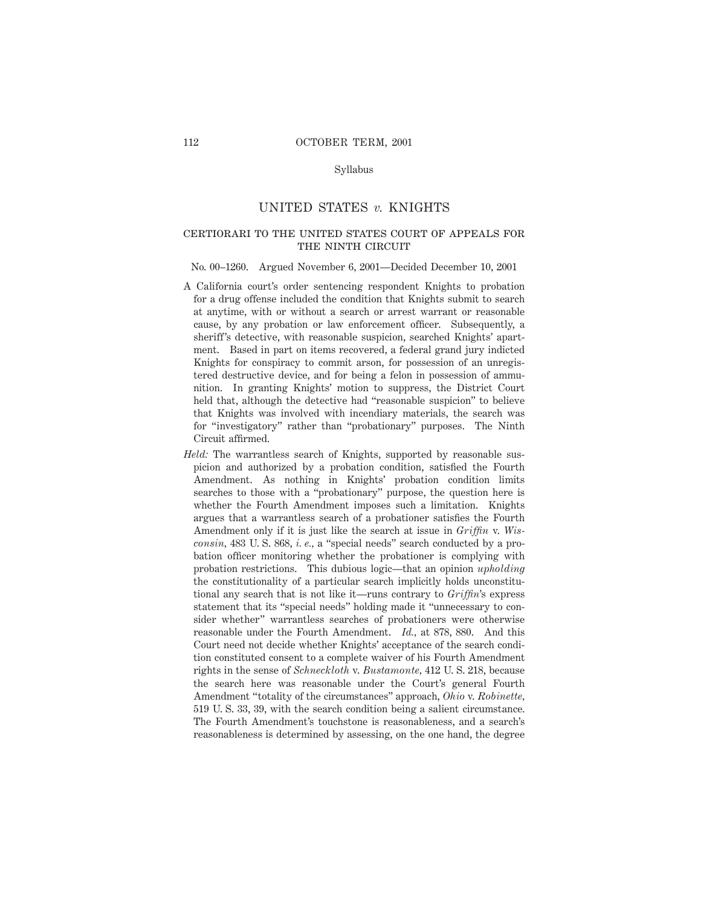## Syllabus

# UNITED STATES *v.* KNIGHTS

# certiorari to the united states court of appeals for THE NINTH CIRCUIT

#### No. 00–1260. Argued November 6, 2001—Decided December 10, 2001

- A California court's order sentencing respondent Knights to probation for a drug offense included the condition that Knights submit to search at anytime, with or without a search or arrest warrant or reasonable cause, by any probation or law enforcement officer. Subsequently, a sheriff's detective, with reasonable suspicion, searched Knights' apartment. Based in part on items recovered, a federal grand jury indicted Knights for conspiracy to commit arson, for possession of an unregistered destructive device, and for being a felon in possession of ammunition. In granting Knights' motion to suppress, the District Court held that, although the detective had "reasonable suspicion" to believe that Knights was involved with incendiary materials, the search was for "investigatory" rather than "probationary" purposes. The Ninth Circuit affirmed.
- *Held:* The warrantless search of Knights, supported by reasonable suspicion and authorized by a probation condition, satisfied the Fourth Amendment. As nothing in Knights' probation condition limits searches to those with a "probationary" purpose, the question here is whether the Fourth Amendment imposes such a limitation. Knights argues that a warrantless search of a probationer satisfies the Fourth Amendment only if it is just like the search at issue in *Griffin* v. *Wisconsin,* 483 U. S. 868, *i. e.,* a "special needs" search conducted by a probation officer monitoring whether the probationer is complying with probation restrictions. This dubious logic—that an opinion *upholding* the constitutionality of a particular search implicitly holds unconstitutional any search that is not like it—runs contrary to *Griffin*'s express statement that its "special needs" holding made it "unnecessary to consider whether" warrantless searches of probationers were otherwise reasonable under the Fourth Amendment. *Id.,* at 878, 880. And this Court need not decide whether Knights' acceptance of the search condition constituted consent to a complete waiver of his Fourth Amendment rights in the sense of *Schneckloth* v. *Bustamonte,* 412 U. S. 218, because the search here was reasonable under the Court's general Fourth Amendment "totality of the circumstances" approach, *Ohio* v. *Robinette,* 519 U. S. 33, 39, with the search condition being a salient circumstance. The Fourth Amendment's touchstone is reasonableness, and a search's reasonableness is determined by assessing, on the one hand, the degree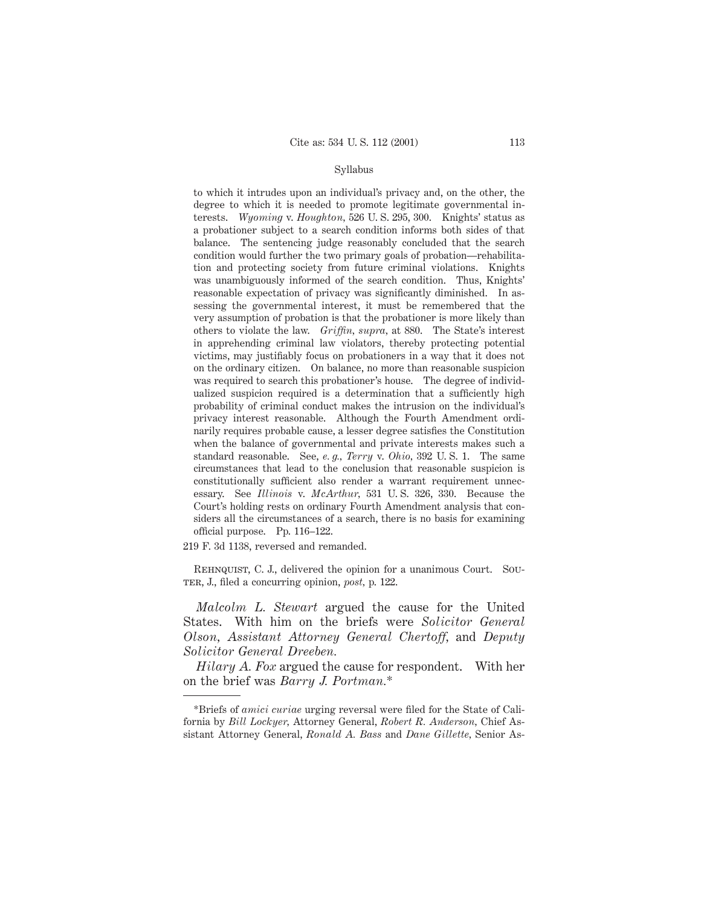### Syllabus

to which it intrudes upon an individual's privacy and, on the other, the degree to which it is needed to promote legitimate governmental interests. *Wyoming* v. *Houghton,* 526 U. S. 295, 300. Knights' status as a probationer subject to a search condition informs both sides of that balance. The sentencing judge reasonably concluded that the search condition would further the two primary goals of probation—rehabilitation and protecting society from future criminal violations. Knights was unambiguously informed of the search condition. Thus, Knights' reasonable expectation of privacy was significantly diminished. In assessing the governmental interest, it must be remembered that the very assumption of probation is that the probationer is more likely than others to violate the law. *Griffin, supra,* at 880. The State's interest in apprehending criminal law violators, thereby protecting potential victims, may justifiably focus on probationers in a way that it does not on the ordinary citizen. On balance, no more than reasonable suspicion was required to search this probationer's house. The degree of individualized suspicion required is a determination that a sufficiently high probability of criminal conduct makes the intrusion on the individual's privacy interest reasonable. Although the Fourth Amendment ordinarily requires probable cause, a lesser degree satisfies the Constitution when the balance of governmental and private interests makes such a standard reasonable. See, *e. g., Terry* v. *Ohio,* 392 U. S. 1. The same circumstances that lead to the conclusion that reasonable suspicion is constitutionally sufficient also render a warrant requirement unnecessary. See *Illinois* v. *McArthur,* 531 U. S. 326, 330. Because the Court's holding rests on ordinary Fourth Amendment analysis that considers all the circumstances of a search, there is no basis for examining official purpose. Pp. 116–122.

219 F. 3d 1138, reversed and remanded.

Rehnquist, C. J., delivered the opinion for a unanimous Court. Souter, J., filed a concurring opinion, *post,* p. 122.

*Malcolm L. Stewart* argued the cause for the United States. With him on the briefs were *Solicitor General Olson, Assistant Attorney General Chertoff,* and *Deputy Solicitor General Dreeben.*

*Hilary A. Fox* argued the cause for respondent. With her on the brief was *Barry J. Portman.*\*

<sup>\*</sup>Briefs of *amici curiae* urging reversal were filed for the State of California by *Bill Lockyer,* Attorney General, *Robert R. Anderson,* Chief Assistant Attorney General, *Ronald A. Bass* and *Dane Gillette,* Senior As-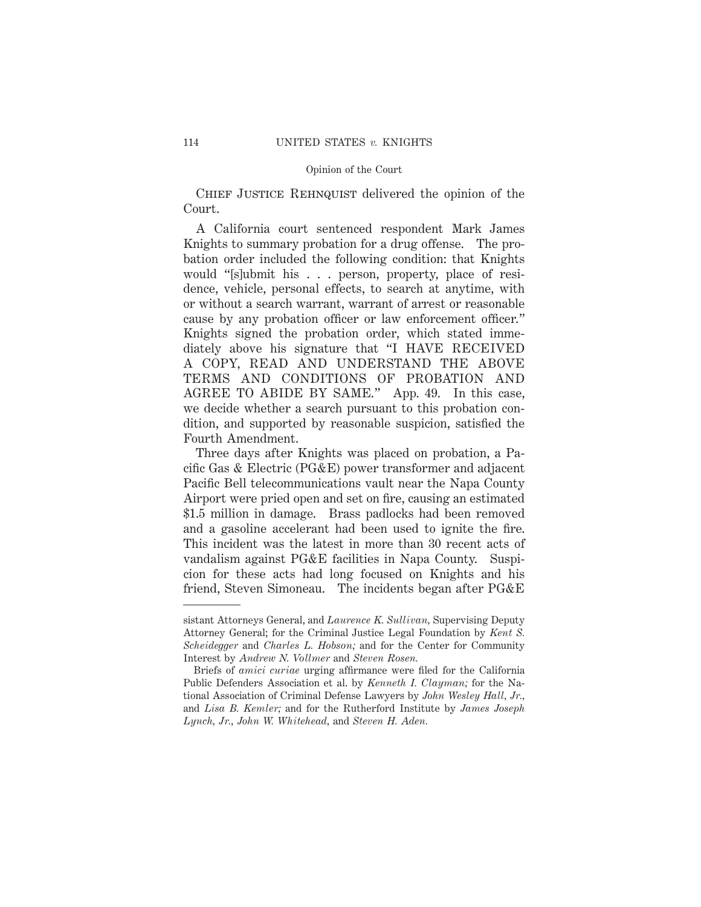CHIEF JUSTICE REHNQUIST delivered the opinion of the Court.

A California court sentenced respondent Mark James Knights to summary probation for a drug offense. The probation order included the following condition: that Knights would "[s]ubmit his . . . person, property, place of residence, vehicle, personal effects, to search at anytime, with or without a search warrant, warrant of arrest or reasonable cause by any probation officer or law enforcement officer." Knights signed the probation order, which stated immediately above his signature that "I HAVE RECEIVED A COPY, READ AND UNDERSTAND THE ABOVE TERMS AND CONDITIONS OF PROBATION AND AGREE TO ABIDE BY SAME." App. 49. In this case, we decide whether a search pursuant to this probation condition, and supported by reasonable suspicion, satisfied the Fourth Amendment.

Three days after Knights was placed on probation, a Pacific Gas & Electric (PG&E) power transformer and adjacent Pacific Bell telecommunications vault near the Napa County Airport were pried open and set on fire, causing an estimated \$1.5 million in damage. Brass padlocks had been removed and a gasoline accelerant had been used to ignite the fire. This incident was the latest in more than 30 recent acts of vandalism against PG&E facilities in Napa County. Suspicion for these acts had long focused on Knights and his friend, Steven Simoneau. The incidents began after PG&E

sistant Attorneys General, and *Laurence K. Sullivan,* Supervising Deputy Attorney General; for the Criminal Justice Legal Foundation by *Kent S. Scheidegger* and *Charles L. Hobson;* and for the Center for Community Interest by *Andrew N. Vollmer* and *Steven Rosen.*

Briefs of *amici curiae* urging affirmance were filed for the California Public Defenders Association et al. by *Kenneth I. Clayman;* for the National Association of Criminal Defense Lawyers by *John Wesley Hall, Jr.,* and *Lisa B. Kemler;* and for the Rutherford Institute by *James Joseph Lynch, Jr., John W. Whitehead,* and *Steven H. Aden.*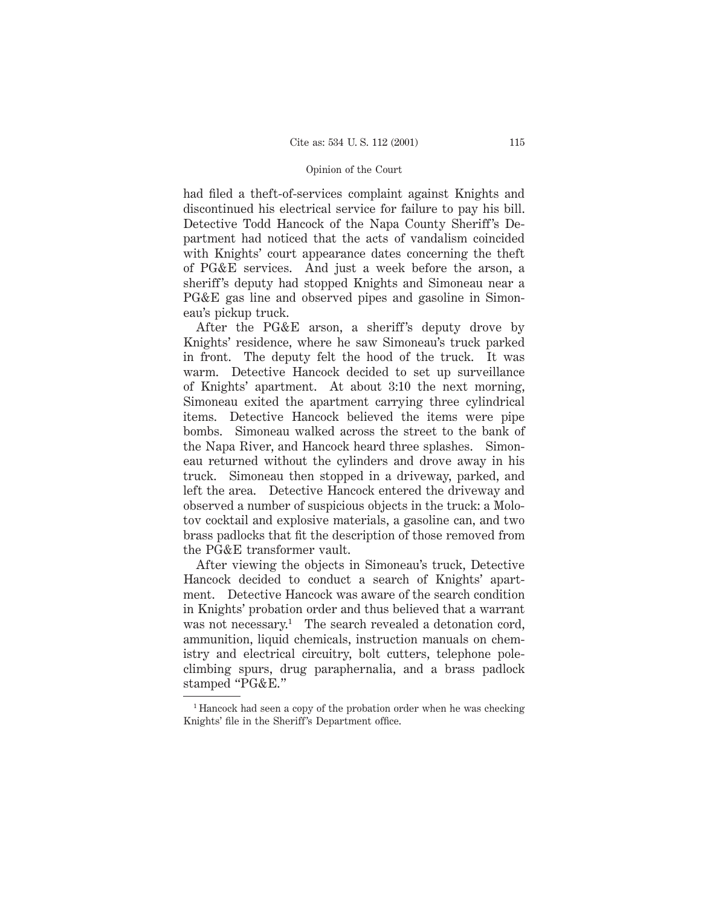had filed a theft-of-services complaint against Knights and discontinued his electrical service for failure to pay his bill. Detective Todd Hancock of the Napa County Sheriff's Department had noticed that the acts of vandalism coincided with Knights' court appearance dates concerning the theft of PG&E services. And just a week before the arson, a sheriff's deputy had stopped Knights and Simoneau near a PG&E gas line and observed pipes and gasoline in Simoneau's pickup truck.

After the PG&E arson, a sheriff's deputy drove by Knights' residence, where he saw Simoneau's truck parked in front. The deputy felt the hood of the truck. It was warm. Detective Hancock decided to set up surveillance of Knights' apartment. At about 3:10 the next morning, Simoneau exited the apartment carrying three cylindrical items. Detective Hancock believed the items were pipe bombs. Simoneau walked across the street to the bank of the Napa River, and Hancock heard three splashes. Simoneau returned without the cylinders and drove away in his truck. Simoneau then stopped in a driveway, parked, and left the area. Detective Hancock entered the driveway and observed a number of suspicious objects in the truck: a Molotov cocktail and explosive materials, a gasoline can, and two brass padlocks that fit the description of those removed from the PG&E transformer vault.

After viewing the objects in Simoneau's truck, Detective Hancock decided to conduct a search of Knights' apartment. Detective Hancock was aware of the search condition in Knights' probation order and thus believed that a warrant was not necessary.<sup>1</sup> The search revealed a detonation cord, ammunition, liquid chemicals, instruction manuals on chemistry and electrical circuitry, bolt cutters, telephone poleclimbing spurs, drug paraphernalia, and a brass padlock stamped "PG&E."

<sup>&</sup>lt;sup>1</sup> Hancock had seen a copy of the probation order when he was checking Knights' file in the Sheriff's Department office.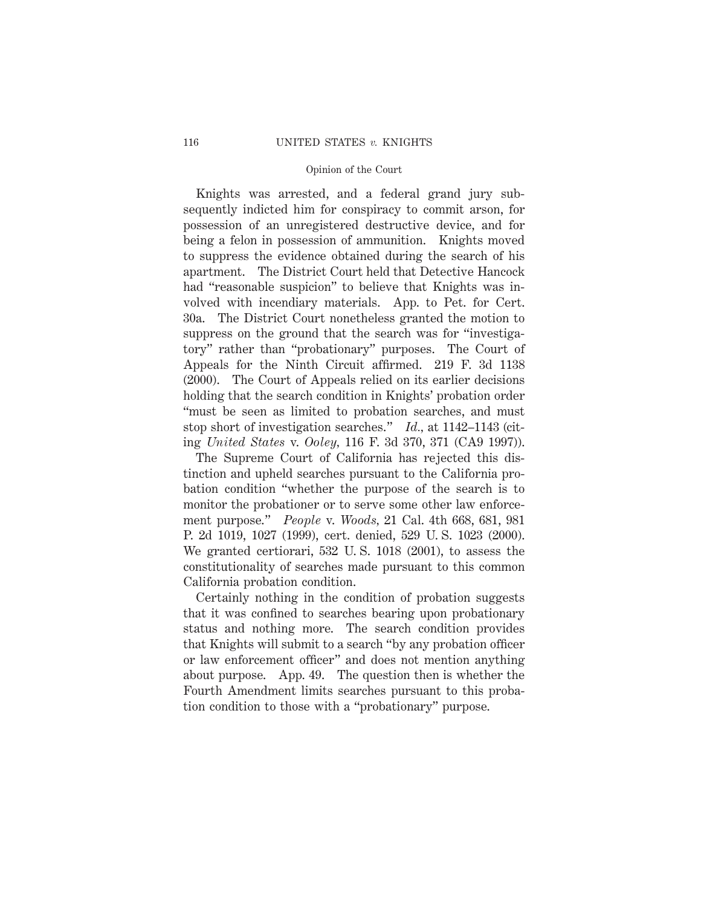Knights was arrested, and a federal grand jury subsequently indicted him for conspiracy to commit arson, for possession of an unregistered destructive device, and for being a felon in possession of ammunition. Knights moved to suppress the evidence obtained during the search of his apartment. The District Court held that Detective Hancock had "reasonable suspicion" to believe that Knights was involved with incendiary materials. App. to Pet. for Cert. 30a. The District Court nonetheless granted the motion to suppress on the ground that the search was for "investigatory" rather than "probationary" purposes. The Court of Appeals for the Ninth Circuit affirmed. 219 F. 3d 1138 (2000). The Court of Appeals relied on its earlier decisions holding that the search condition in Knights' probation order "must be seen as limited to probation searches, and must stop short of investigation searches." *Id.,* at 1142–1143 (citing *United States* v. *Ooley,* 116 F. 3d 370, 371 (CA9 1997)).

The Supreme Court of California has rejected this distinction and upheld searches pursuant to the California probation condition "whether the purpose of the search is to monitor the probationer or to serve some other law enforcement purpose." *People* v. *Woods,* 21 Cal. 4th 668, 681, 981 P. 2d 1019, 1027 (1999), cert. denied, 529 U. S. 1023 (2000). We granted certiorari, 532 U. S. 1018 (2001), to assess the constitutionality of searches made pursuant to this common California probation condition.

Certainly nothing in the condition of probation suggests that it was confined to searches bearing upon probationary status and nothing more. The search condition provides that Knights will submit to a search "by any probation officer or law enforcement officer" and does not mention anything about purpose. App. 49. The question then is whether the Fourth Amendment limits searches pursuant to this probation condition to those with a "probationary" purpose.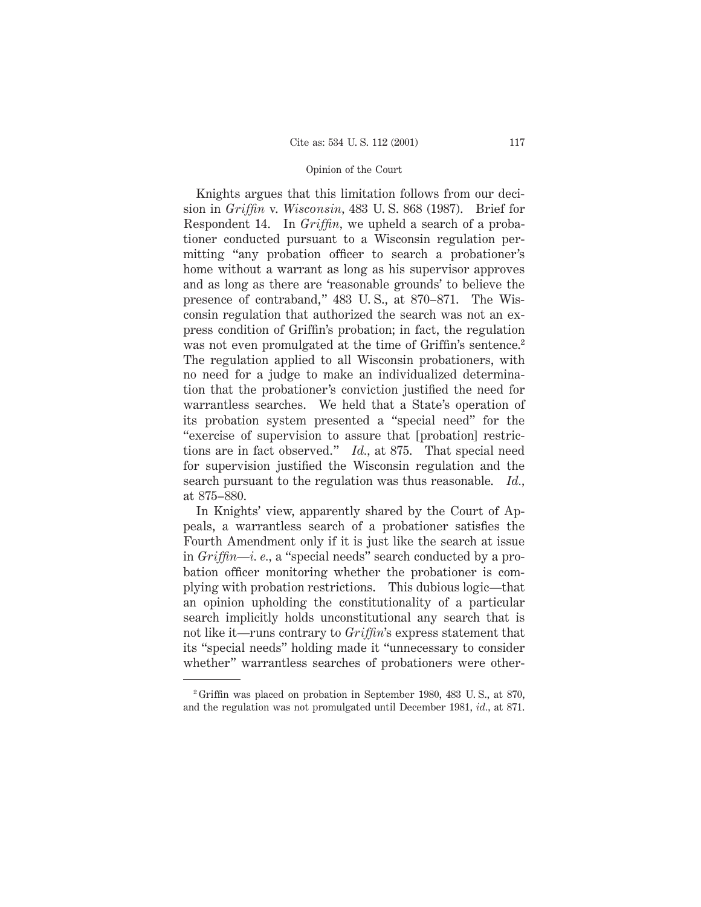Knights argues that this limitation follows from our decision in *Griffin* v. *Wisconsin,* 483 U. S. 868 (1987). Brief for Respondent 14. In *Griffin,* we upheld a search of a probationer conducted pursuant to a Wisconsin regulation permitting "any probation officer to search a probationer's home without a warrant as long as his supervisor approves and as long as there are 'reasonable grounds' to believe the presence of contraband," 483 U. S., at 870–871. The Wisconsin regulation that authorized the search was not an express condition of Griffin's probation; in fact, the regulation was not even promulgated at the time of Griffin's sentence.<sup>2</sup> The regulation applied to all Wisconsin probationers, with no need for a judge to make an individualized determination that the probationer's conviction justified the need for warrantless searches. We held that a State's operation of its probation system presented a "special need" for the "exercise of supervision to assure that [probation] restrictions are in fact observed." *Id.,* at 875. That special need for supervision justified the Wisconsin regulation and the search pursuant to the regulation was thus reasonable. *Id.,* at 875–880.

In Knights' view, apparently shared by the Court of Appeals, a warrantless search of a probationer satisfies the Fourth Amendment only if it is just like the search at issue in *Griffin—i. e.,* a "special needs" search conducted by a probation officer monitoring whether the probationer is complying with probation restrictions. This dubious logic—that an opinion upholding the constitutionality of a particular search implicitly holds unconstitutional any search that is not like it—runs contrary to *Griffin*'s express statement that its "special needs" holding made it "unnecessary to consider whether" warrantless searches of probationers were other-

<sup>2</sup> Griffin was placed on probation in September 1980, 483 U. S., at 870, and the regulation was not promulgated until December 1981, *id.,* at 871.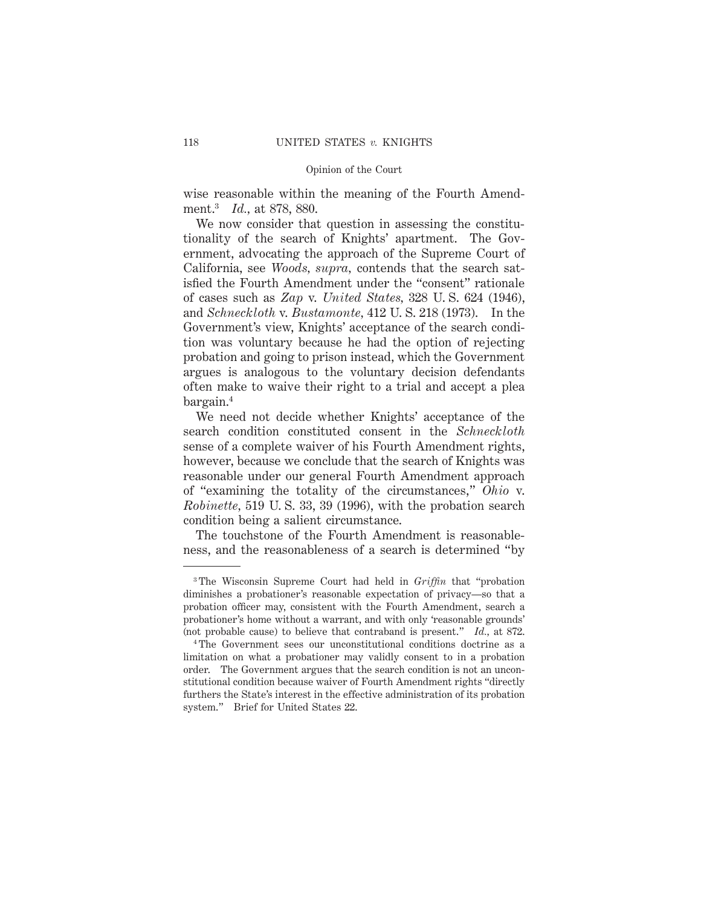wise reasonable within the meaning of the Fourth Amendment.3 *Id.,* at 878, 880.

We now consider that question in assessing the constitutionality of the search of Knights' apartment. The Government, advocating the approach of the Supreme Court of California, see *Woods, supra,* contends that the search satisfied the Fourth Amendment under the "consent" rationale of cases such as *Zap* v. *United States,* 328 U. S. 624 (1946), and *Schneckloth* v. *Bustamonte,* 412 U. S. 218 (1973). In the Government's view, Knights' acceptance of the search condition was voluntary because he had the option of rejecting probation and going to prison instead, which the Government argues is analogous to the voluntary decision defendants often make to waive their right to a trial and accept a plea bargain.4

We need not decide whether Knights' acceptance of the search condition constituted consent in the *Schneckloth* sense of a complete waiver of his Fourth Amendment rights, however, because we conclude that the search of Knights was reasonable under our general Fourth Amendment approach of "examining the totality of the circumstances," *Ohio* v. *Robinette,* 519 U. S. 33, 39 (1996), with the probation search condition being a salient circumstance.

The touchstone of the Fourth Amendment is reasonableness, and the reasonableness of a search is determined "by

<sup>3</sup> The Wisconsin Supreme Court had held in *Griffin* that "probation diminishes a probationer's reasonable expectation of privacy—so that a probation officer may, consistent with the Fourth Amendment, search a probationer's home without a warrant, and with only 'reasonable grounds' (not probable cause) to believe that contraband is present." *Id.,* at 872.

<sup>4</sup> The Government sees our unconstitutional conditions doctrine as a limitation on what a probationer may validly consent to in a probation order. The Government argues that the search condition is not an unconstitutional condition because waiver of Fourth Amendment rights "directly furthers the State's interest in the effective administration of its probation system." Brief for United States 22.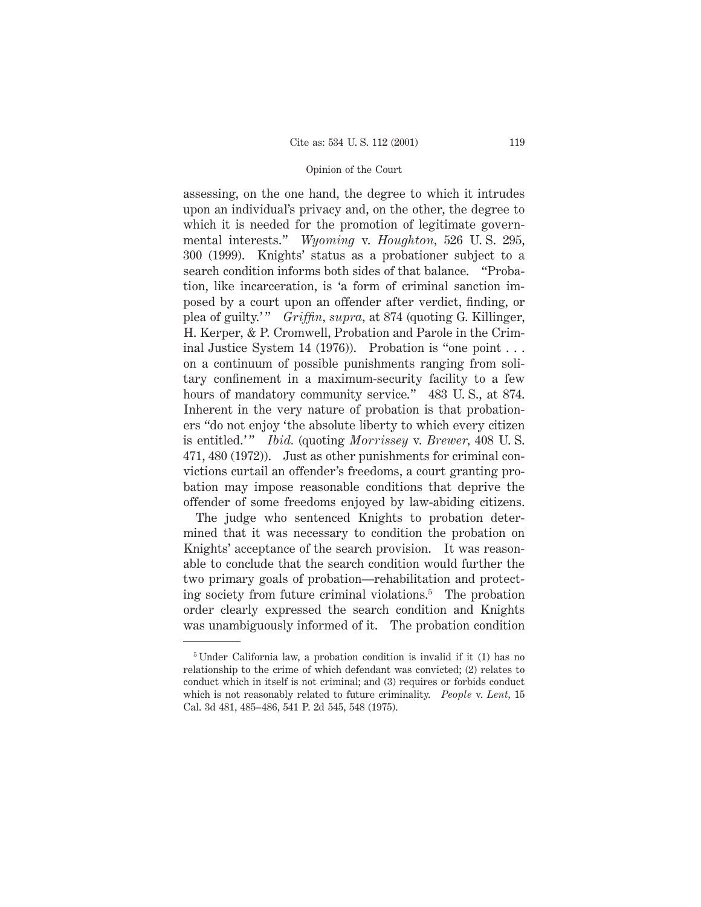assessing, on the one hand, the degree to which it intrudes upon an individual's privacy and, on the other, the degree to which it is needed for the promotion of legitimate governmental interests." *Wyoming* v. *Houghton,* 526 U. S. 295, 300 (1999). Knights' status as a probationer subject to a search condition informs both sides of that balance. "Probation, like incarceration, is 'a form of criminal sanction imposed by a court upon an offender after verdict, finding, or plea of guilty.' " *Griffin, supra,* at 874 (quoting G. Killinger, H. Kerper, & P. Cromwell, Probation and Parole in the Criminal Justice System 14 (1976)). Probation is "one point . . . on a continuum of possible punishments ranging from solitary confinement in a maximum-security facility to a few hours of mandatory community service." 483 U.S., at 874. Inherent in the very nature of probation is that probationers "do not enjoy 'the absolute liberty to which every citizen is entitled.'" *Ibid.* (quoting *Morrissey* v. *Brewer*, 408 U.S. 471, 480 (1972)). Just as other punishments for criminal convictions curtail an offender's freedoms, a court granting probation may impose reasonable conditions that deprive the offender of some freedoms enjoyed by law-abiding citizens.

The judge who sentenced Knights to probation determined that it was necessary to condition the probation on Knights' acceptance of the search provision. It was reasonable to conclude that the search condition would further the two primary goals of probation—rehabilitation and protecting society from future criminal violations.5 The probation order clearly expressed the search condition and Knights was unambiguously informed of it. The probation condition

<sup>5</sup> Under California law, a probation condition is invalid if it (1) has no relationship to the crime of which defendant was convicted; (2) relates to conduct which in itself is not criminal; and (3) requires or forbids conduct which is not reasonably related to future criminality. *People* v. *Lent,* 15 Cal. 3d 481, 485–486, 541 P. 2d 545, 548 (1975).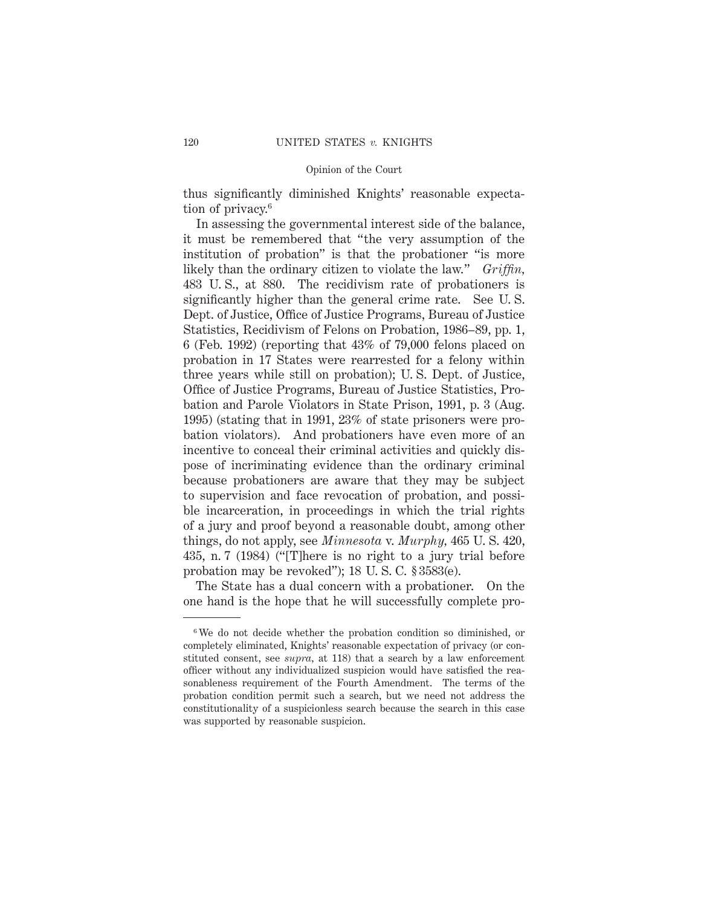thus significantly diminished Knights' reasonable expectation of privacy.<sup>6</sup>

In assessing the governmental interest side of the balance, it must be remembered that "the very assumption of the institution of probation" is that the probationer "is more likely than the ordinary citizen to violate the law." *Griffin,* 483 U. S., at 880. The recidivism rate of probationers is significantly higher than the general crime rate. See U. S. Dept. of Justice, Office of Justice Programs, Bureau of Justice Statistics, Recidivism of Felons on Probation, 1986–89, pp. 1, 6 (Feb. 1992) (reporting that 43% of 79,000 felons placed on probation in 17 States were rearrested for a felony within three years while still on probation); U. S. Dept. of Justice, Office of Justice Programs, Bureau of Justice Statistics, Probation and Parole Violators in State Prison, 1991, p. 3 (Aug. 1995) (stating that in 1991, 23% of state prisoners were probation violators). And probationers have even more of an incentive to conceal their criminal activities and quickly dispose of incriminating evidence than the ordinary criminal because probationers are aware that they may be subject to supervision and face revocation of probation, and possible incarceration, in proceedings in which the trial rights of a jury and proof beyond a reasonable doubt, among other things, do not apply, see *Minnesota* v. *Murphy,* 465 U. S. 420, 435, n. 7 (1984) ("[T]here is no right to a jury trial before probation may be revoked"); 18 U. S. C. § 3583(e).

The State has a dual concern with a probationer. On the one hand is the hope that he will successfully complete pro-

<sup>6</sup> We do not decide whether the probation condition so diminished, or completely eliminated, Knights' reasonable expectation of privacy (or constituted consent, see *supra,* at 118) that a search by a law enforcement officer without any individualized suspicion would have satisfied the reasonableness requirement of the Fourth Amendment. The terms of the probation condition permit such a search, but we need not address the constitutionality of a suspicionless search because the search in this case was supported by reasonable suspicion.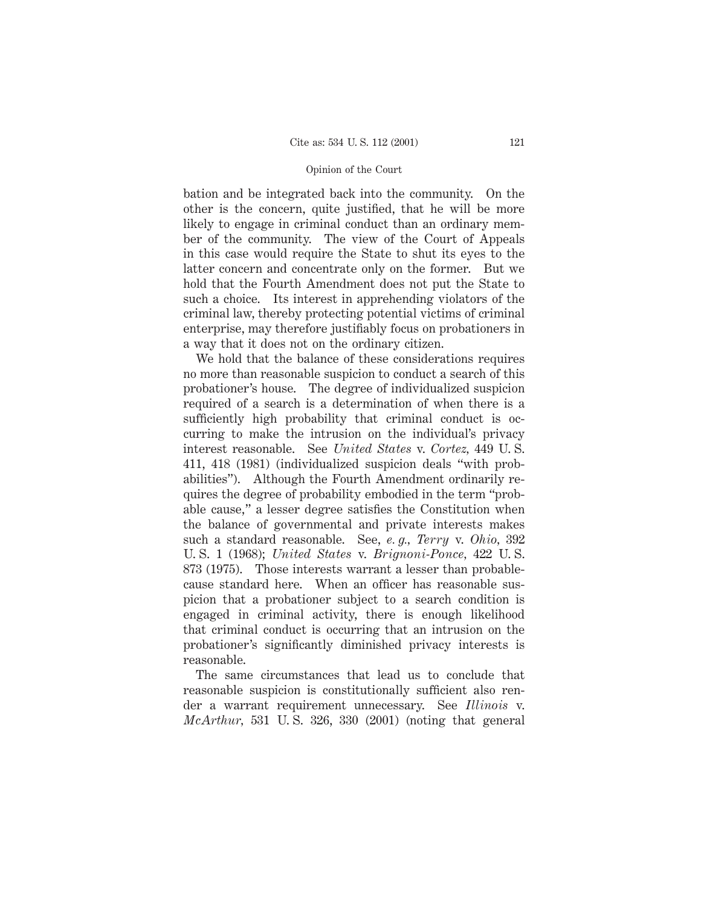bation and be integrated back into the community. On the other is the concern, quite justified, that he will be more likely to engage in criminal conduct than an ordinary member of the community. The view of the Court of Appeals in this case would require the State to shut its eyes to the latter concern and concentrate only on the former. But we hold that the Fourth Amendment does not put the State to such a choice. Its interest in apprehending violators of the criminal law, thereby protecting potential victims of criminal enterprise, may therefore justifiably focus on probationers in a way that it does not on the ordinary citizen.

We hold that the balance of these considerations requires no more than reasonable suspicion to conduct a search of this probationer's house. The degree of individualized suspicion required of a search is a determination of when there is a sufficiently high probability that criminal conduct is occurring to make the intrusion on the individual's privacy interest reasonable. See *United States* v. *Cortez,* 449 U. S. 411, 418 (1981) (individualized suspicion deals "with probabilities"). Although the Fourth Amendment ordinarily requires the degree of probability embodied in the term "probable cause," a lesser degree satisfies the Constitution when the balance of governmental and private interests makes such a standard reasonable. See, *e. g., Terry* v. *Ohio,* 392 U. S. 1 (1968); *United States* v. *Brignoni-Ponce,* 422 U. S. 873 (1975). Those interests warrant a lesser than probablecause standard here. When an officer has reasonable suspicion that a probationer subject to a search condition is engaged in criminal activity, there is enough likelihood that criminal conduct is occurring that an intrusion on the probationer's significantly diminished privacy interests is reasonable.

The same circumstances that lead us to conclude that reasonable suspicion is constitutionally sufficient also render a warrant requirement unnecessary. See *Illinois* v. *McArthur,* 531 U. S. 326, 330 (2001) (noting that general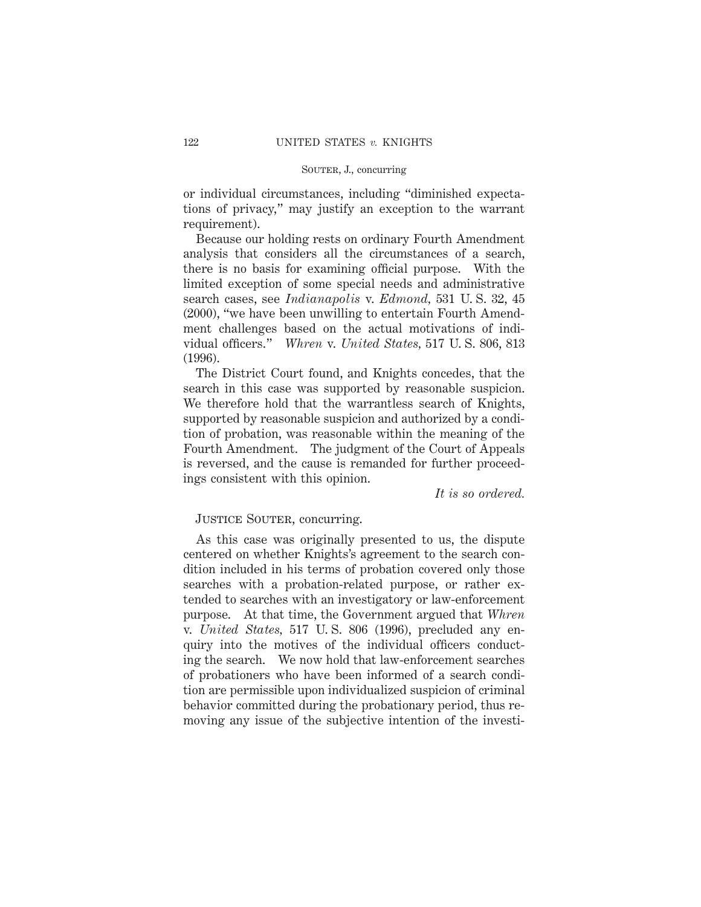# SOUTER, J., concurring

or individual circumstances, including "diminished expectations of privacy," may justify an exception to the warrant requirement).

Because our holding rests on ordinary Fourth Amendment analysis that considers all the circumstances of a search, there is no basis for examining official purpose. With the limited exception of some special needs and administrative search cases, see *Indianapolis* v. *Edmond,* 531 U. S. 32, 45 (2000), "we have been unwilling to entertain Fourth Amendment challenges based on the actual motivations of individual officers." *Whren* v. *United States,* 517 U. S. 806, 813 (1996).

The District Court found, and Knights concedes, that the search in this case was supported by reasonable suspicion. We therefore hold that the warrantless search of Knights, supported by reasonable suspicion and authorized by a condition of probation, was reasonable within the meaning of the Fourth Amendment. The judgment of the Court of Appeals is reversed, and the cause is remanded for further proceedings consistent with this opinion.

*It is so ordered.*

# JUSTICE SOUTER, concurring.

As this case was originally presented to us, the dispute centered on whether Knights's agreement to the search condition included in his terms of probation covered only those searches with a probation-related purpose, or rather extended to searches with an investigatory or law-enforcement purpose. At that time, the Government argued that *Whren* v. *United States,* 517 U. S. 806 (1996), precluded any enquiry into the motives of the individual officers conducting the search. We now hold that law-enforcement searches of probationers who have been informed of a search condition are permissible upon individualized suspicion of criminal behavior committed during the probationary period, thus removing any issue of the subjective intention of the investi-